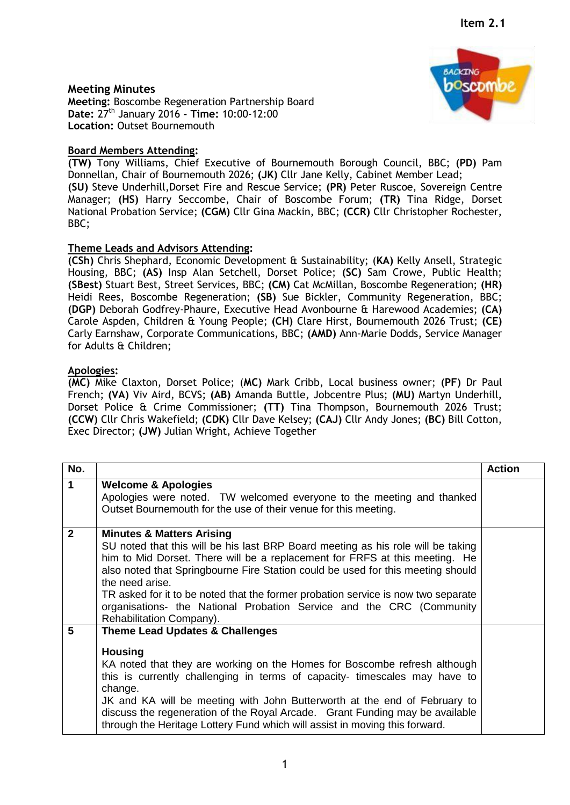## **Meeting Minutes**

**Meeting:** Boscombe Regeneration Partnership Board **Date:** 27th January 2016 **- Time:** 10:00-12:00 **Location:** Outset Bournemouth

# **Board Members Attending:**

**(TW)** Tony Williams, Chief Executive of Bournemouth Borough Council, BBC; **(PD)** Pam Donnellan, Chair of Bournemouth 2026; **(JK)** Cllr Jane Kelly, Cabinet Member Lead; **(SU)** Steve Underhill,Dorset Fire and Rescue Service; **(PR)** Peter Ruscoe, Sovereign Centre Manager; **(HS)** Harry Seccombe, Chair of Boscombe Forum; **(TR)** Tina Ridge, Dorset National Probation Service; **(CGM)** Cllr Gina Mackin, BBC; **(CCR)** Cllr Christopher Rochester, BBC;

## **Theme Leads and Advisors Attending:**

**(CSh)** Chris Shephard, Economic Development & Sustainability; (**KA)** Kelly Ansell, Strategic Housing, BBC; **(AS)** Insp Alan Setchell, Dorset Police; **(SC)** Sam Crowe, Public Health; **(SBest)** Stuart Best, Street Services, BBC; **(CM)** Cat McMillan, Boscombe Regeneration; **(HR)** Heidi Rees, Boscombe Regeneration; **(SB)** Sue Bickler, Community Regeneration, BBC; **(DGP)** Deborah Godfrey-Phaure, Executive Head Avonbourne & Harewood Academies; **(CA)** Carole Aspden, Children & Young People; **(CH)** Clare Hirst, Bournemouth 2026 Trust; **(CE)** Carly Earnshaw, Corporate Communications, BBC; **(AMD)** Ann-Marie Dodds, Service Manager for Adults & Children;

## **Apologies:**

**(MC)** Mike Claxton, Dorset Police; (**MC)** Mark Cribb, Local business owner; **(PF)** Dr Paul French; **(VA)** Viv Aird, BCVS; **(AB)** Amanda Buttle, Jobcentre Plus; **(MU)** Martyn Underhill, Dorset Police & Crime Commissioner; **(TT)** Tina Thompson, Bournemouth 2026 Trust; **(CCW)** Cllr Chris Wakefield; **(CDK)** Cllr Dave Kelsey; **(CAJ)** Cllr Andy Jones; **(BC)** Bill Cotton, Exec Director; **(JW)** Julian Wright, Achieve Together

| No.            |                                                                                                                                                                                                                                                                                                                                                                                                                                                                                                        | <b>Action</b> |
|----------------|--------------------------------------------------------------------------------------------------------------------------------------------------------------------------------------------------------------------------------------------------------------------------------------------------------------------------------------------------------------------------------------------------------------------------------------------------------------------------------------------------------|---------------|
| $\mathbf{1}$   | <b>Welcome &amp; Apologies</b><br>Apologies were noted. TW welcomed everyone to the meeting and thanked<br>Outset Bournemouth for the use of their venue for this meeting.                                                                                                                                                                                                                                                                                                                             |               |
| $\overline{2}$ | <b>Minutes &amp; Matters Arising</b><br>SU noted that this will be his last BRP Board meeting as his role will be taking<br>him to Mid Dorset. There will be a replacement for FRFS at this meeting. He<br>also noted that Springbourne Fire Station could be used for this meeting should<br>the need arise.<br>TR asked for it to be noted that the former probation service is now two separate<br>organisations- the National Probation Service and the CRC (Community<br>Rehabilitation Company). |               |
| 5              | <b>Theme Lead Updates &amp; Challenges</b><br><b>Housing</b><br>KA noted that they are working on the Homes for Boscombe refresh although<br>this is currently challenging in terms of capacity- timescales may have to<br>change.<br>JK and KA will be meeting with John Butterworth at the end of February to<br>discuss the regeneration of the Royal Arcade. Grant Funding may be available<br>through the Heritage Lottery Fund which will assist in moving this forward.                         |               |

1

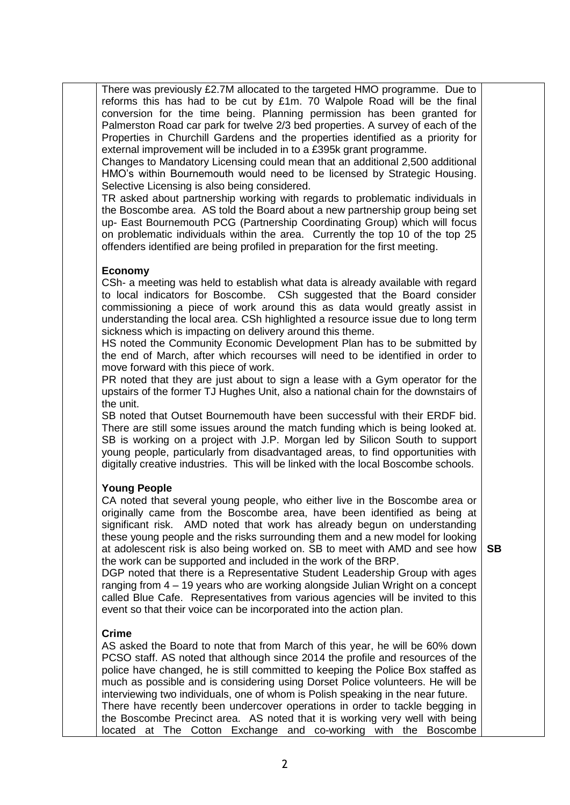There was previously £2.7M allocated to the targeted HMO programme. Due to reforms this has had to be cut by £1m. 70 Walpole Road will be the final conversion for the time being. Planning permission has been granted for Palmerston Road car park for twelve 2/3 bed properties. A survey of each of the Properties in Churchill Gardens and the properties identified as a priority for external improvement will be included in to a £395k grant programme.

Changes to Mandatory Licensing could mean that an additional 2,500 additional HMO's within Bournemouth would need to be licensed by Strategic Housing. Selective Licensing is also being considered.

TR asked about partnership working with regards to problematic individuals in the Boscombe area. AS told the Board about a new partnership group being set up- East Bournemouth PCG (Partnership Coordinating Group) which will focus on problematic individuals within the area. Currently the top 10 of the top 25 offenders identified are being profiled in preparation for the first meeting.

#### **Economy**

CSh- a meeting was held to establish what data is already available with regard to local indicators for Boscombe. CSh suggested that the Board consider commissioning a piece of work around this as data would greatly assist in understanding the local area. CSh highlighted a resource issue due to long term sickness which is impacting on delivery around this theme.

HS noted the Community Economic Development Plan has to be submitted by the end of March, after which recourses will need to be identified in order to move forward with this piece of work.

PR noted that they are just about to sign a lease with a Gym operator for the upstairs of the former TJ Hughes Unit, also a national chain for the downstairs of the unit.

SB noted that Outset Bournemouth have been successful with their ERDF bid. There are still some issues around the match funding which is being looked at. SB is working on a project with J.P. Morgan led by Silicon South to support young people, particularly from disadvantaged areas, to find opportunities with digitally creative industries. This will be linked with the local Boscombe schools.

## **Young People**

CA noted that several young people, who either live in the Boscombe area or originally came from the Boscombe area, have been identified as being at significant risk. AMD noted that work has already begun on understanding these young people and the risks surrounding them and a new model for looking at adolescent risk is also being worked on. SB to meet with AMD and see how the work can be supported and included in the work of the BRP.

DGP noted that there is a Representative Student Leadership Group with ages ranging from 4 – 19 years who are working alongside Julian Wright on a concept called Blue Cafe. Representatives from various agencies will be invited to this event so that their voice can be incorporated into the action plan.

#### **Crime**

AS asked the Board to note that from March of this year, he will be 60% down PCSO staff. AS noted that although since 2014 the profile and resources of the police have changed, he is still committed to keeping the Police Box staffed as much as possible and is considering using Dorset Police volunteers. He will be interviewing two individuals, one of whom is Polish speaking in the near future. There have recently been undercover operations in order to tackle begging in the Boscombe Precinct area. AS noted that it is working very well with being located at The Cotton Exchange and co-working with the Boscombe

**SB**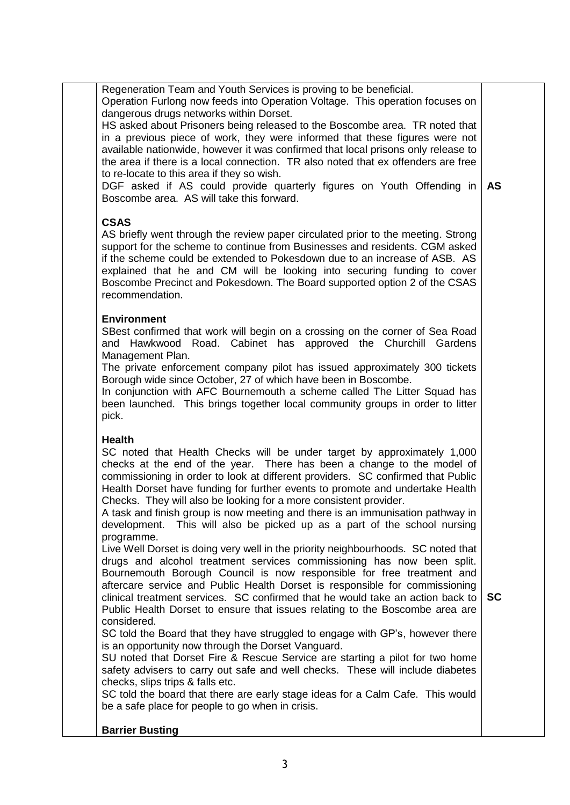| Regeneration Team and Youth Services is proving to be beneficial.<br>Operation Furlong now feeds into Operation Voltage. This operation focuses on<br>dangerous drugs networks within Dorset.<br>HS asked about Prisoners being released to the Boscombe area. TR noted that<br>in a previous piece of work, they were informed that these figures were not<br>available nationwide, however it was confirmed that local prisons only release to<br>the area if there is a local connection. TR also noted that ex offenders are free<br>to re-locate to this area if they so wish.<br>DGF asked if AS could provide quarterly figures on Youth Offending in<br>Boscombe area. AS will take this forward.<br><b>CSAS</b>                                                                                                                                                                                                                                                                                                                                                                                                                                                                                                                                                                                                                                                                                                                                                                                                                                                                                        | <b>AS</b> |
|-----------------------------------------------------------------------------------------------------------------------------------------------------------------------------------------------------------------------------------------------------------------------------------------------------------------------------------------------------------------------------------------------------------------------------------------------------------------------------------------------------------------------------------------------------------------------------------------------------------------------------------------------------------------------------------------------------------------------------------------------------------------------------------------------------------------------------------------------------------------------------------------------------------------------------------------------------------------------------------------------------------------------------------------------------------------------------------------------------------------------------------------------------------------------------------------------------------------------------------------------------------------------------------------------------------------------------------------------------------------------------------------------------------------------------------------------------------------------------------------------------------------------------------------------------------------------------------------------------------------|-----------|
| AS briefly went through the review paper circulated prior to the meeting. Strong<br>support for the scheme to continue from Businesses and residents. CGM asked<br>if the scheme could be extended to Pokesdown due to an increase of ASB. AS<br>explained that he and CM will be looking into securing funding to cover<br>Boscombe Precinct and Pokesdown. The Board supported option 2 of the CSAS<br>recommendation.                                                                                                                                                                                                                                                                                                                                                                                                                                                                                                                                                                                                                                                                                                                                                                                                                                                                                                                                                                                                                                                                                                                                                                                        |           |
| <b>Environment</b><br>SBest confirmed that work will begin on a crossing on the corner of Sea Road<br>and Hawkwood Road. Cabinet has approved the Churchill Gardens<br>Management Plan.<br>The private enforcement company pilot has issued approximately 300 tickets<br>Borough wide since October, 27 of which have been in Boscombe.<br>In conjunction with AFC Bournemouth a scheme called The Litter Squad has<br>been launched. This brings together local community groups in order to litter<br>pick.                                                                                                                                                                                                                                                                                                                                                                                                                                                                                                                                                                                                                                                                                                                                                                                                                                                                                                                                                                                                                                                                                                   |           |
| <b>Health</b><br>SC noted that Health Checks will be under target by approximately 1,000<br>checks at the end of the year. There has been a change to the model of<br>commissioning in order to look at different providers. SC confirmed that Public<br>Health Dorset have funding for further events to promote and undertake Health<br>Checks. They will also be looking for a more consistent provider.<br>A task and finish group is now meeting and there is an immunisation pathway in<br>This will also be picked up as a part of the school nursing<br>development.<br>programme.<br>Live Well Dorset is doing very well in the priority neighbourhoods. SC noted that<br>drugs and alcohol treatment services commissioning has now been split.<br>Bournemouth Borough Council is now responsible for free treatment and<br>aftercare service and Public Health Dorset is responsible for commissioning<br>clinical treatment services. SC confirmed that he would take an action back to<br>Public Health Dorset to ensure that issues relating to the Boscombe area are<br>considered.<br>SC told the Board that they have struggled to engage with GP's, however there<br>is an opportunity now through the Dorset Vanguard.<br>SU noted that Dorset Fire & Rescue Service are starting a pilot for two home<br>safety advisers to carry out safe and well checks. These will include diabetes<br>checks, slips trips & falls etc.<br>SC told the board that there are early stage ideas for a Calm Cafe. This would<br>be a safe place for people to go when in crisis.<br><b>Barrier Busting</b> | <b>SC</b> |